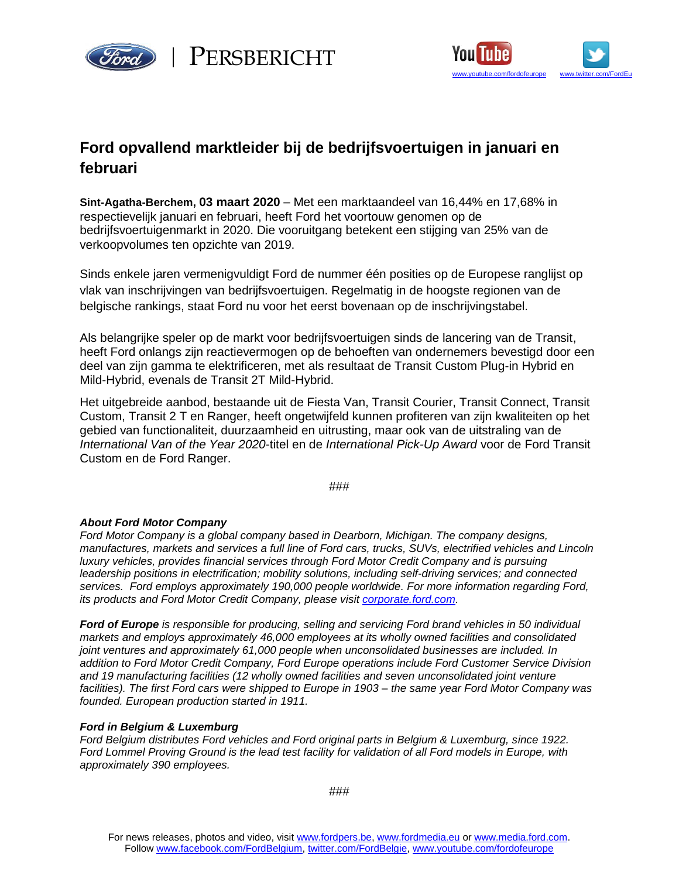





## Ford opvallend marktleider bij de bedrijfsvoertuigen in januari en **februari**

**Sint-Agatha-Berchem, 03 maart 2020** – Met een marktaandeel van 16,44% en 17,68% in respectievelijk januari en februari, heeft Ford het voortouw genomen op de bedrijfsvoertuigenmarkt in 2020. Die vooruitgang betekent een stijging van 25% van de verkoopvolumes ten opzichte van 2019.

Sinds enkele jaren vermenigvuldigt Ford de nummer één posities op de Europese ranglijst op vlak van inschrijvingen van bedrijfsvoertuigen. Regelmatig in de hoogste regionen van de belgische rankings, staat Ford nu voor het eerst bovenaan op de inschrijvingstabel.

Als belangrijke speler op de markt voor bedrijfsvoertuigen sinds de lancering van de Transit, heeft Ford onlangs zijn reactievermogen op de behoeften van ondernemers bevestigd door een deel van zijn gamma te elektrificeren, met als resultaat de Transit Custom Plug-in Hybrid en Mild-Hybrid, evenals de Transit 2T Mild-Hybrid.

Het uitgebreide aanbod, bestaande uit de Fiesta Van, Transit Courier, Transit Connect, Transit Custom, Transit 2 T en Ranger, heeft ongetwijfeld kunnen profiteren van zijn kwaliteiten op het gebied van functionaliteit, duurzaamheid en uitrusting, maar ook van de uitstraling van de *International Van of the Year 2020*-titel en de *International Pick-Up Award* voor de Ford Transit Custom en de Ford Ranger.

###

## *About Ford Motor Company*

*Ford Motor Company is a global company based in Dearborn, Michigan. The company designs, manufactures, markets and services a full line of Ford cars, trucks, SUVs, electrified vehicles and Lincoln luxury vehicles, provides financial services through Ford Motor Credit Company and is pursuing leadership positions in electrification; mobility solutions, including self-driving services; and connected services. Ford employs approximately 190,000 people worldwide. For more information regarding Ford, its products and Ford Motor Credit Company, please visit [corporate.ford.com](https://corporate.ford.com/homepage.html).*

*Ford of Europe is responsible for producing, selling and servicing Ford brand vehicles in 50 individual markets and employs approximately 46,000 employees at its wholly owned facilities and consolidated joint ventures and approximately 61,000 people when unconsolidated businesses are included. In addition to Ford Motor Credit Company, Ford Europe operations include Ford Customer Service Division and 19 manufacturing facilities (12 wholly owned facilities and seven unconsolidated joint venture facilities). The first Ford cars were shipped to Europe in 1903 – the same year Ford Motor Company was founded. European production started in 1911.*

## *Ford in Belgium & Luxemburg*

*Ford Belgium distributes Ford vehicles and Ford original parts in Belgium & Luxemburg, since 1922. Ford Lommel Proving Ground is the lead test facility for validation of all Ford models in Europe, with approximately 390 employees.* 

For news releases, photos and video, visit [www.fordpers.be,](http://www.fordpers.be/) [www.fordmedia.eu](http://www.fordmedia.eu/) or [www.media.ford.com.](http://www.media.ford.com/) Follow [www.facebook.com/FordBelgium,](http://www.facebook.com/FordBelgium) twitter.com/FordBelgie, [www.youtube.com/fordofeurope](http://www.youtube.com/fordofeurope)